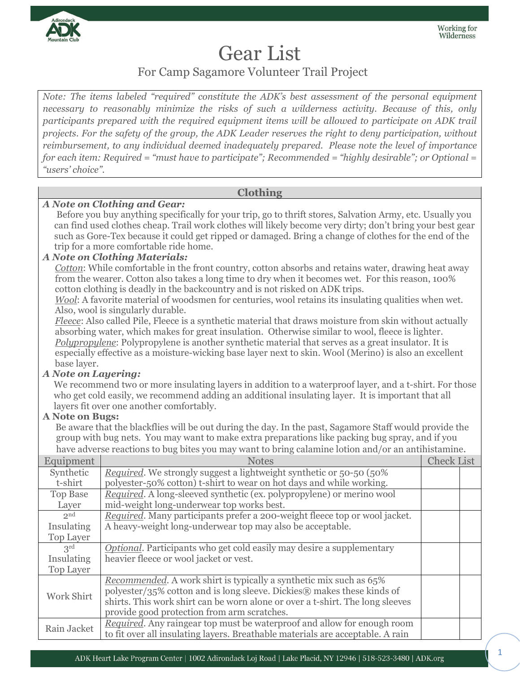

# Gear List

For Camp Sagamore Volunteer Trail Project

*Note: The items labeled "required" constitute the ADK's best assessment of the personal equipment necessary to reasonably minimize the risks of such a wilderness activity. Because of this, only participants prepared with the required equipment items will be allowed to participate on ADK trail projects. For the safety of the group, the ADK Leader reserves the right to deny participation, without reimbursement, to any individual deemed inadequately prepared. Please note the level of importance for each item: Required = "must have to participate"; Recommended = "highly desirable"; or Optional = "users' choice".*

## **Clothing**

### *A Note on Clothing and Gear:*

Before you buy anything specifically for your trip, go to thrift stores, Salvation Army, etc. Usually you can find used clothes cheap. Trail work clothes will likely become very dirty; don't bring your best gear such as Gore-Tex because it could get ripped or damaged. Bring a change of clothes for the end of the trip for a more comfortable ride home.

### *A Note on Clothing Materials:*

*Cotton*: While comfortable in the front country, cotton absorbs and retains water, drawing heat away from the wearer. Cotton also takes a long time to dry when it becomes wet. For this reason, 100% cotton clothing is deadly in the backcountry and is not risked on ADK trips.

*Wool*: A favorite material of woodsmen for centuries, wool retains its insulating qualities when wet. Also, wool is singularly durable.

*Fleece*: Also called Pile, Fleece is a synthetic material that draws moisture from skin without actually absorbing water, which makes for great insulation. Otherwise similar to wool, fleece is lighter. *Polypropylene*: Polypropylene is another synthetic material that serves as a great insulator. It is especially effective as a moisture-wicking base layer next to skin. Wool (Merino) is also an excellent base layer.

## *A Note on Layering:*

We recommend two or more insulating layers in addition to a waterproof layer, and a t-shirt. For those who get cold easily, we recommend adding an additional insulating layer. It is important that all layers fit over one another comfortably.

#### **A Note on Bugs:**

Be aware that the blackflies will be out during the day. In the past, Sagamore Staff would provide the group with bug nets. You may want to make extra preparations like packing bug spray, and if you have adverse reactions to bug bites you may want to bring calamine lotion and/or an antihistamine.

| Equipment        | <b>Notes</b>                                                                   | <b>Check List</b> |  |
|------------------|--------------------------------------------------------------------------------|-------------------|--|
| Synthetic        | <i>Required</i> . We strongly suggest a lightweight synthetic or 50-50 (50%)   |                   |  |
| t-shirt          | polyester-50% cotton) t-shirt to wear on hot days and while working.           |                   |  |
| <b>Top Base</b>  | Required. A long-sleeved synthetic (ex. polypropylene) or merino wool          |                   |  |
| Layer            | mid-weight long-underwear top works best.                                      |                   |  |
| 2 <sup>nd</sup>  | Required. Many participants prefer a 200-weight fleece top or wool jacket.     |                   |  |
| Insulating       | A heavy-weight long-underwear top may also be acceptable.                      |                   |  |
| Top Layer        |                                                                                |                   |  |
| $3^{\text{rd}}$  | Optional. Participants who get cold easily may desire a supplementary          |                   |  |
| Insulating       | heavier fleece or wool jacket or vest.                                         |                   |  |
| <b>Top Layer</b> |                                                                                |                   |  |
| Work Shirt       | <i>Recommended.</i> A work shirt is typically a synthetic mix such as 65%      |                   |  |
|                  | polyester/35% cotton and is long sleeve. Dickies® makes these kinds of         |                   |  |
|                  | shirts. This work shirt can be worn alone or over a t-shirt. The long sleeves  |                   |  |
|                  | provide good protection from arm scratches.                                    |                   |  |
| Rain Jacket      | Required. Any raingear top must be waterproof and allow for enough room        |                   |  |
|                  | to fit over all insulating layers. Breathable materials are acceptable. A rain |                   |  |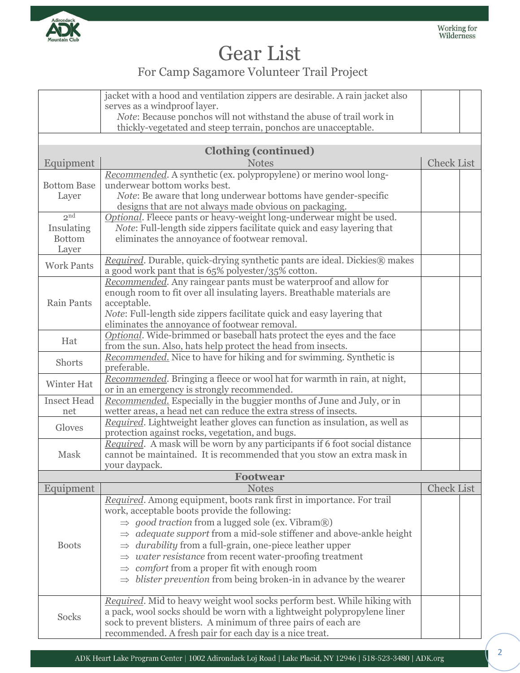

# Gear List

## For Camp Sagamore Volunteer Trail Project

|                           | jacket with a hood and ventilation zippers are desirable. A rain jacket also                                                                    |                   |  |
|---------------------------|-------------------------------------------------------------------------------------------------------------------------------------------------|-------------------|--|
|                           | serves as a windproof layer.<br>Note: Because ponchos will not withstand the abuse of trail work in                                             |                   |  |
|                           | thickly-vegetated and steep terrain, ponchos are unacceptable.                                                                                  |                   |  |
|                           |                                                                                                                                                 |                   |  |
|                           | <b>Clothing (continued)</b>                                                                                                                     |                   |  |
| Equipment                 | <b>Notes</b>                                                                                                                                    | <b>Check List</b> |  |
|                           | Recommended. A synthetic (ex. polypropylene) or merino wool long-                                                                               |                   |  |
| <b>Bottom Base</b>        | underwear bottom works best.                                                                                                                    |                   |  |
| Layer                     | <i>Note:</i> Be aware that long underwear bottoms have gender-specific                                                                          |                   |  |
| 2 <sup>nd</sup>           | designs that are not always made obvious on packaging.                                                                                          |                   |  |
| Insulating                | Optional. Fleece pants or heavy-weight long-underwear might be used.<br>Note: Full-length side zippers facilitate quick and easy layering that  |                   |  |
| <b>Bottom</b>             | eliminates the annoyance of footwear removal.                                                                                                   |                   |  |
| Layer                     |                                                                                                                                                 |                   |  |
|                           | Required. Durable, quick-drying synthetic pants are ideal. Dickies® makes                                                                       |                   |  |
| <b>Work Pants</b>         | a good work pant that is 65% polyester/35% cotton.                                                                                              |                   |  |
|                           | Recommended. Any raingear pants must be waterproof and allow for                                                                                |                   |  |
|                           | enough room to fit over all insulating layers. Breathable materials are                                                                         |                   |  |
| Rain Pants                | acceptable.                                                                                                                                     |                   |  |
|                           | Note: Full-length side zippers facilitate quick and easy layering that<br>eliminates the annoyance of footwear removal.                         |                   |  |
|                           | Optional. Wide-brimmed or baseball hats protect the eyes and the face                                                                           |                   |  |
| Hat                       | from the sun. Also, hats help protect the head from insects.                                                                                    |                   |  |
| Shorts                    | Recommended. Nice to have for hiking and for swimming. Synthetic is                                                                             |                   |  |
|                           | preferable.                                                                                                                                     |                   |  |
| Winter Hat                | Recommended. Bringing a fleece or wool hat for warmth in rain, at night,                                                                        |                   |  |
|                           | or in an emergency is strongly recommended.                                                                                                     |                   |  |
| <b>Insect Head</b><br>net | Recommended. Especially in the buggier months of June and July, or in<br>wetter areas, a head net can reduce the extra stress of insects.       |                   |  |
|                           | Required. Lightweight leather gloves can function as insulation, as well as                                                                     |                   |  |
| Gloves                    | protection against rocks, vegetation, and bugs.                                                                                                 |                   |  |
|                           | Required. A mask will be worn by any participants if 6 foot social distance                                                                     |                   |  |
| Mask                      | cannot be maintained. It is recommended that you stow an extra mask in                                                                          |                   |  |
|                           | your daypack.                                                                                                                                   |                   |  |
|                           | <b>Footwear</b>                                                                                                                                 |                   |  |
| Equipment                 | <b>Notes</b>                                                                                                                                    | <b>Check List</b> |  |
|                           | Required. Among equipment, boots rank first in importance. For trail                                                                            |                   |  |
|                           | work, acceptable boots provide the following:                                                                                                   |                   |  |
| <b>Boots</b>              | $\Rightarrow$ good traction from a lugged sole (ex. Vibram®)<br>$\Rightarrow$ adequate support from a mid-sole stiffener and above-ankle height |                   |  |
|                           | $\Rightarrow$ durability from a full-grain, one-piece leather upper                                                                             |                   |  |
|                           | $\Rightarrow$ water resistance from recent water-proofing treatment                                                                             |                   |  |
|                           | $\Rightarrow$ comfort from a proper fit with enough room                                                                                        |                   |  |
|                           | $\Rightarrow$ blister prevention from being broken-in in advance by the wearer                                                                  |                   |  |
|                           |                                                                                                                                                 |                   |  |
|                           | Required. Mid to heavy weight wool socks perform best. While hiking with                                                                        |                   |  |
| Socks                     | a pack, wool socks should be worn with a lightweight polypropylene liner                                                                        |                   |  |
|                           | sock to prevent blisters. A minimum of three pairs of each are                                                                                  |                   |  |
|                           | recommended. A fresh pair for each day is a nice treat.                                                                                         |                   |  |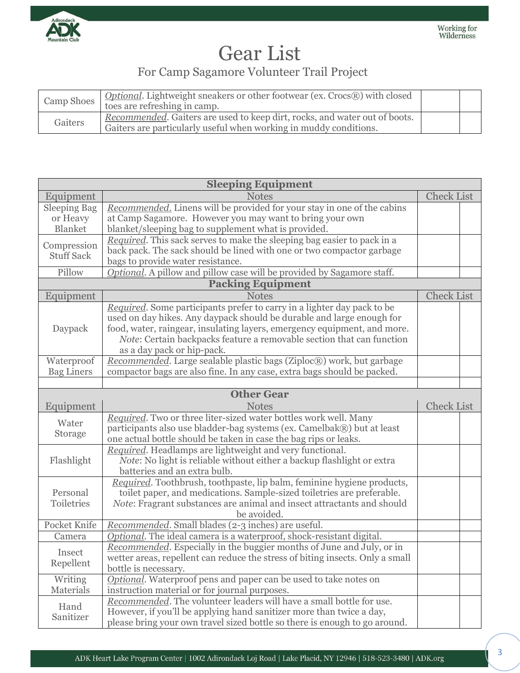

# Gear List

## For Camp Sagamore Volunteer Trail Project

| Camp Shoes | Optional. Lightweight sneakers or other footwear (ex. Crocs®) with closed<br>toes are refreshing in camp.                                       |  |
|------------|-------------------------------------------------------------------------------------------------------------------------------------------------|--|
| Gaiters    | Recommended. Gaiters are used to keep dirt, rocks, and water out of boots.<br>Gaiters are particularly useful when working in muddy conditions. |  |

| <b>Sleeping Equipment</b>        |                                                                                |                   |  |
|----------------------------------|--------------------------------------------------------------------------------|-------------------|--|
| Equipment                        | <b>Notes</b>                                                                   | <b>Check List</b> |  |
| <b>Sleeping Bag</b>              | Recommended. Linens will be provided for your stay in one of the cabins        |                   |  |
| or Heavy                         | at Camp Sagamore. However you may want to bring your own                       |                   |  |
| <b>Blanket</b>                   | blanket/sleeping bag to supplement what is provided.                           |                   |  |
| Compression<br><b>Stuff Sack</b> | Required. This sack serves to make the sleeping bag easier to pack in a        |                   |  |
|                                  | back pack. The sack should be lined with one or two compactor garbage          |                   |  |
|                                  | bags to provide water resistance.                                              |                   |  |
| Pillow                           | Optional. A pillow and pillow case will be provided by Sagamore staff.         |                   |  |
|                                  | <b>Packing Equipment</b>                                                       |                   |  |
| Equipment                        | <b>Notes</b>                                                                   | <b>Check List</b> |  |
|                                  | Required. Some participants prefer to carry in a lighter day pack to be        |                   |  |
|                                  | used on day hikes. Any daypack should be durable and large enough for          |                   |  |
| Daypack                          | food, water, raingear, insulating layers, emergency equipment, and more.       |                   |  |
|                                  | Note: Certain backpacks feature a removable section that can function          |                   |  |
|                                  | as a day pack or hip-pack.                                                     |                   |  |
| Waterproof                       | Recommended. Large sealable plastic bags (Ziploc®) work, but garbage           |                   |  |
| <b>Bag Liners</b>                | compactor bags are also fine. In any case, extra bags should be packed.        |                   |  |
|                                  |                                                                                |                   |  |
|                                  | <b>Other Gear</b>                                                              |                   |  |
| Equipment                        | <b>Notes</b>                                                                   | <b>Check List</b> |  |
| Water                            | Required. Two or three liter-sized water bottles work well. Many               |                   |  |
| Storage                          | participants also use bladder-bag systems (ex. Camelbak®) but at least         |                   |  |
|                                  | one actual bottle should be taken in case the bag rips or leaks.               |                   |  |
|                                  | Required. Headlamps are lightweight and very functional.                       |                   |  |
| Flashlight                       | <i>Note</i> : No light is reliable without either a backup flashlight or extra |                   |  |
|                                  | batteries and an extra bulb.                                                   |                   |  |
|                                  | Required. Toothbrush, toothpaste, lip balm, feminine hygiene products,         |                   |  |
| Personal                         | toilet paper, and medications. Sample-sized toiletries are preferable.         |                   |  |
| Toiletries                       | Note: Fragrant substances are animal and insect attractants and should         |                   |  |
|                                  | be avoided.                                                                    |                   |  |
| Pocket Knife                     | Recommended. Small blades (2-3 inches) are useful.                             |                   |  |
| Camera                           | Optional. The ideal camera is a waterproof, shock-resistant digital.           |                   |  |
| Insect                           | Recommended. Especially in the buggier months of June and July, or in          |                   |  |
|                                  | wetter areas, repellent can reduce the stress of biting insects. Only a small  |                   |  |
| Repellent                        | bottle is necessary.                                                           |                   |  |
| Writing                          | Optional. Waterproof pens and paper can be used to take notes on               |                   |  |
| Materials                        | instruction material or for journal purposes.                                  |                   |  |
|                                  | Recommended. The volunteer leaders will have a small bottle for use.           |                   |  |
| Hand<br>Sanitizer                | However, if you'll be applying hand sanitizer more than twice a day,           |                   |  |
|                                  | please bring your own travel sized bottle so there is enough to go around.     |                   |  |